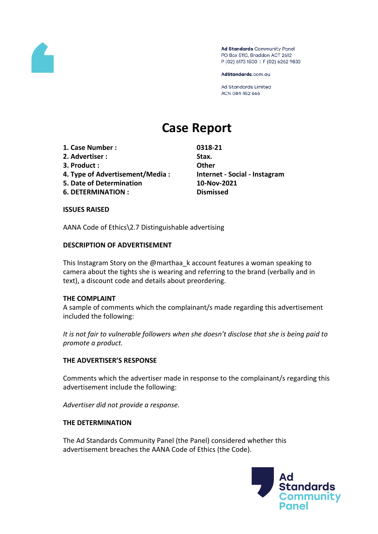

Ad Standards Community Panel PO Box 5110, Braddon ACT 2612 P (02) 6173 1500 | F (02) 6262 9833

AdStandards.com.au

Ad Standards Limited ACN 084 452 666

# **Case Report**

- **1. Case Number : 0318-21**
- **2. Advertiser : Stax.**
- **3. Product : Other**
- **4. Type of Advertisement/Media : Internet - Social - Instagram**
- **5. Date of Determination 10-Nov-2021**
- **6. DETERMINATION : Dismissed**

## **ISSUES RAISED**

AANA Code of Ethics\2.7 Distinguishable advertising

## **DESCRIPTION OF ADVERTISEMENT**

This Instagram Story on the @marthaa\_k account features a woman speaking to camera about the tights she is wearing and referring to the brand (verbally and in text), a discount code and details about preordering.

## **THE COMPLAINT**

A sample of comments which the complainant/s made regarding this advertisement included the following:

*It is not fair to vulnerable followers when she doesn't disclose that she is being paid to promote a product.*

## **THE ADVERTISER'S RESPONSE**

Comments which the advertiser made in response to the complainant/s regarding this advertisement include the following:

*Advertiser did not provide a response.*

## **THE DETERMINATION**

The Ad Standards Community Panel (the Panel) considered whether this advertisement breaches the AANA Code of Ethics (the Code).

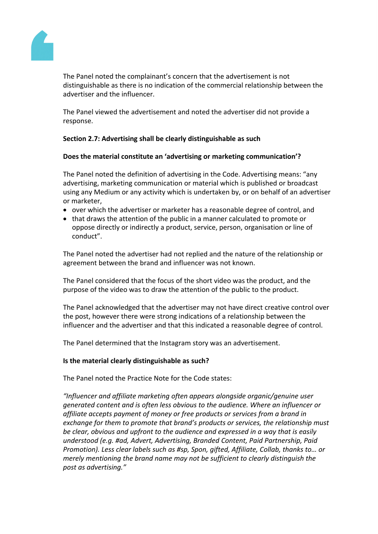

The Panel noted the complainant's concern that the advertisement is not distinguishable as there is no indication of the commercial relationship between the advertiser and the influencer.

The Panel viewed the advertisement and noted the advertiser did not provide a response.

## **Section 2.7: Advertising shall be clearly distinguishable as such**

## **Does the material constitute an 'advertising or marketing communication'?**

The Panel noted the definition of advertising in the Code. Advertising means: "any advertising, marketing communication or material which is published or broadcast using any Medium or any activity which is undertaken by, or on behalf of an advertiser or marketer,

- over which the advertiser or marketer has a reasonable degree of control, and
- that draws the attention of the public in a manner calculated to promote or oppose directly or indirectly a product, service, person, organisation or line of conduct".

The Panel noted the advertiser had not replied and the nature of the relationship or agreement between the brand and influencer was not known.

The Panel considered that the focus of the short video was the product, and the purpose of the video was to draw the attention of the public to the product.

The Panel acknowledged that the advertiser may not have direct creative control over the post, however there were strong indications of a relationship between the influencer and the advertiser and that this indicated a reasonable degree of control.

The Panel determined that the Instagram story was an advertisement.

## **Is the material clearly distinguishable as such?**

The Panel noted the Practice Note for the Code states:

*"Influencer and affiliate marketing often appears alongside organic/genuine user generated content and is often less obvious to the audience. Where an influencer or affiliate accepts payment of money or free products or services from a brand in exchange for them to promote that brand's products or services, the relationship must be clear, obvious and upfront to the audience and expressed in a way that is easily understood (e.g. #ad, Advert, Advertising, Branded Content, Paid Partnership, Paid Promotion). Less clear labels such as #sp, Spon, gifted, Affiliate, Collab, thanks to… or merely mentioning the brand name may not be sufficient to clearly distinguish the post as advertising."*